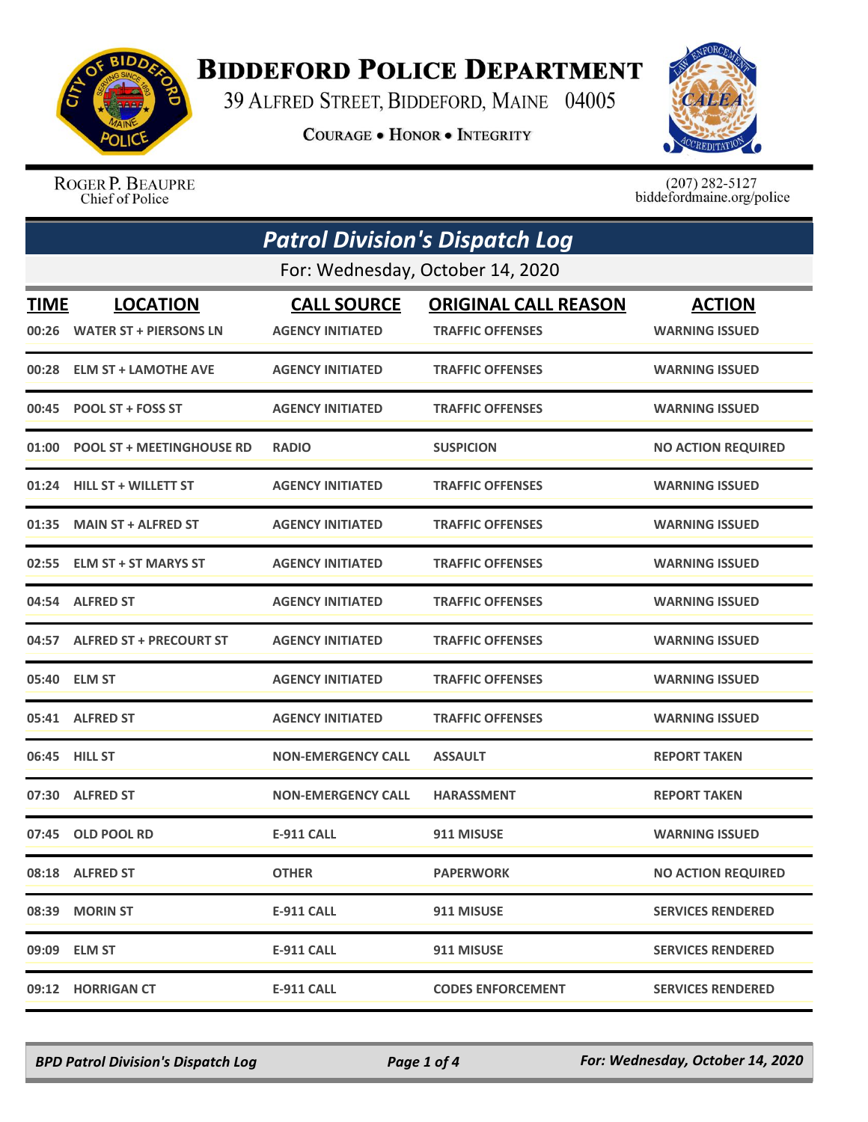

## **BIDDEFORD POLICE DEPARTMENT**

39 ALFRED STREET, BIDDEFORD, MAINE 04005

**COURAGE . HONOR . INTEGRITY** 



ROGER P. BEAUPRE Chief of Police

 $(207)$  282-5127 biddefordmaine.org/police

|             | <b>Patrol Division's Dispatch Log</b> |                           |                             |                           |  |  |
|-------------|---------------------------------------|---------------------------|-----------------------------|---------------------------|--|--|
|             | For: Wednesday, October 14, 2020      |                           |                             |                           |  |  |
| <b>TIME</b> | <b>LOCATION</b>                       | <b>CALL SOURCE</b>        | <b>ORIGINAL CALL REASON</b> | <b>ACTION</b>             |  |  |
| 00:26       | <b>WATER ST + PIERSONS LN</b>         | <b>AGENCY INITIATED</b>   | <b>TRAFFIC OFFENSES</b>     | <b>WARNING ISSUED</b>     |  |  |
|             | 00:28 ELM ST + LAMOTHE AVE            | AGENCY INITIATED          | <b>TRAFFIC OFFENSES</b>     | <b>WARNING ISSUED</b>     |  |  |
| 00:45       | <b>POOL ST + FOSS ST</b>              | <b>AGENCY INITIATED</b>   | <b>TRAFFIC OFFENSES</b>     | <b>WARNING ISSUED</b>     |  |  |
| 01:00       | <b>POOL ST + MEETINGHOUSE RD</b>      | <b>RADIO</b>              | <b>SUSPICION</b>            | <b>NO ACTION REQUIRED</b> |  |  |
| 01:24       | <b>HILL ST + WILLETT ST</b>           | <b>AGENCY INITIATED</b>   | <b>TRAFFIC OFFENSES</b>     | <b>WARNING ISSUED</b>     |  |  |
| 01:35       | <b>MAIN ST + ALFRED ST</b>            | <b>AGENCY INITIATED</b>   | <b>TRAFFIC OFFENSES</b>     | <b>WARNING ISSUED</b>     |  |  |
| 02:55       | <b>ELM ST + ST MARYS ST</b>           | <b>AGENCY INITIATED</b>   | <b>TRAFFIC OFFENSES</b>     | <b>WARNING ISSUED</b>     |  |  |
|             | 04:54 ALFRED ST                       | <b>AGENCY INITIATED</b>   | <b>TRAFFIC OFFENSES</b>     | <b>WARNING ISSUED</b>     |  |  |
|             | 04:57 ALFRED ST + PRECOURT ST         | <b>AGENCY INITIATED</b>   | <b>TRAFFIC OFFENSES</b>     | <b>WARNING ISSUED</b>     |  |  |
| 05:40       | <b>ELM ST</b>                         | <b>AGENCY INITIATED</b>   | <b>TRAFFIC OFFENSES</b>     | <b>WARNING ISSUED</b>     |  |  |
|             | 05:41 ALFRED ST                       | <b>AGENCY INITIATED</b>   | <b>TRAFFIC OFFENSES</b>     | <b>WARNING ISSUED</b>     |  |  |
|             | 06:45 HILL ST                         | <b>NON-EMERGENCY CALL</b> | <b>ASSAULT</b>              | <b>REPORT TAKEN</b>       |  |  |
| 07:30       | <b>ALFRED ST</b>                      | <b>NON-EMERGENCY CALL</b> | <b>HARASSMENT</b>           | <b>REPORT TAKEN</b>       |  |  |
| 07:45       | <b>OLD POOL RD</b>                    | <b>E-911 CALL</b>         | 911 MISUSE                  | <b>WARNING ISSUED</b>     |  |  |
|             | 08:18 ALFRED ST                       | <b>OTHER</b>              | <b>PAPERWORK</b>            | <b>NO ACTION REQUIRED</b> |  |  |
|             | 08:39 MORIN ST                        | <b>E-911 CALL</b>         | 911 MISUSE                  | <b>SERVICES RENDERED</b>  |  |  |
|             | 09:09 ELM ST                          | <b>E-911 CALL</b>         | 911 MISUSE                  | <b>SERVICES RENDERED</b>  |  |  |
|             | 09:12 HORRIGAN CT                     | <b>E-911 CALL</b>         | <b>CODES ENFORCEMENT</b>    | <b>SERVICES RENDERED</b>  |  |  |

*BPD Patrol Division's Dispatch Log Page 1 of 4 For: Wednesday, October 14, 2020*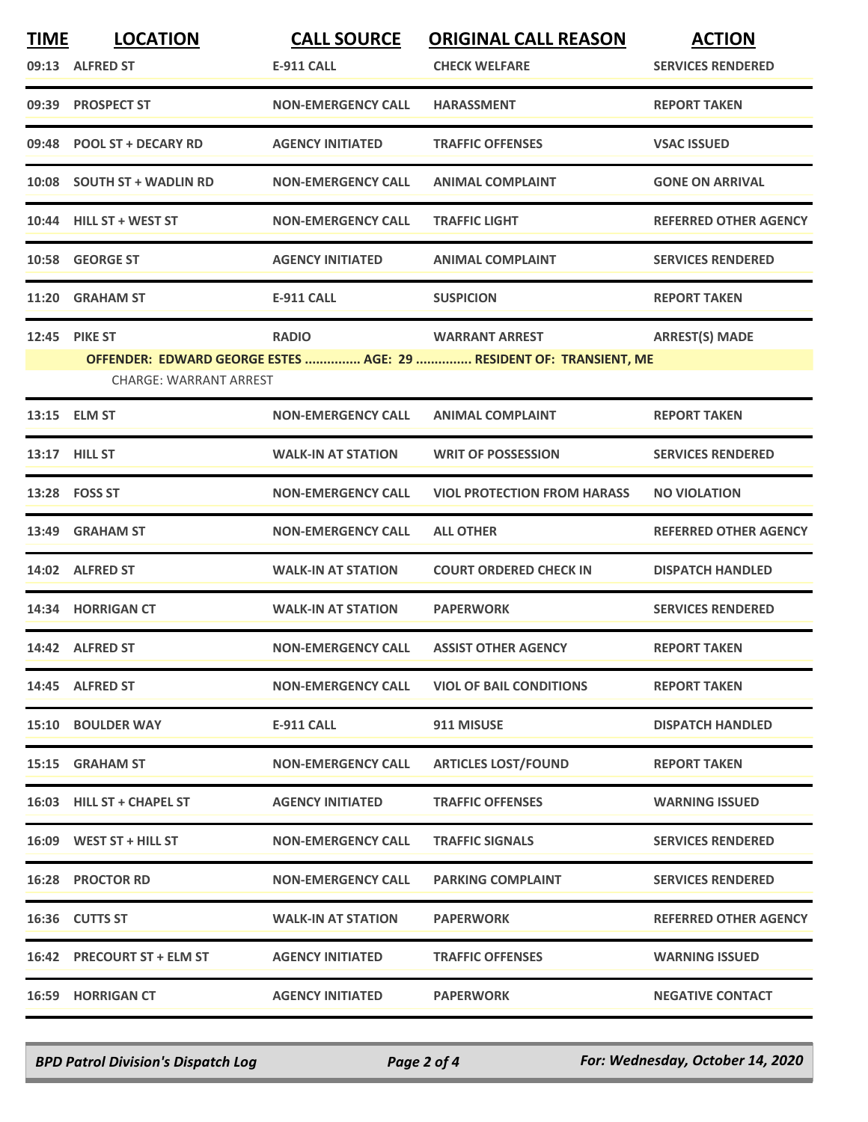| <b>TIME</b> | <b>LOCATION</b>               | <b>CALL SOURCE</b>        | <b>ORIGINAL CALL REASON</b>                                        | <b>ACTION</b>                |
|-------------|-------------------------------|---------------------------|--------------------------------------------------------------------|------------------------------|
|             | 09:13 ALFRED ST               | <b>E-911 CALL</b>         | <b>CHECK WELFARE</b>                                               | <b>SERVICES RENDERED</b>     |
|             | 09:39 PROSPECT ST             | <b>NON-EMERGENCY CALL</b> | <b>HARASSMENT</b>                                                  | <b>REPORT TAKEN</b>          |
|             | 09:48 POOL ST + DECARY RD     | <b>AGENCY INITIATED</b>   | <b>TRAFFIC OFFENSES</b>                                            | <b>VSAC ISSUED</b>           |
|             | 10:08 SOUTH ST + WADLIN RD    | <b>NON-EMERGENCY CALL</b> | <b>ANIMAL COMPLAINT</b>                                            | <b>GONE ON ARRIVAL</b>       |
|             | 10:44 HILL ST + WEST ST       | <b>NON-EMERGENCY CALL</b> | <b>TRAFFIC LIGHT</b>                                               | <b>REFERRED OTHER AGENCY</b> |
|             | 10:58 GEORGE ST               | <b>AGENCY INITIATED</b>   | <b>ANIMAL COMPLAINT</b>                                            | <b>SERVICES RENDERED</b>     |
|             | 11:20 GRAHAM ST               | <b>E-911 CALL</b>         | <b>SUSPICION</b>                                                   | <b>REPORT TAKEN</b>          |
|             | <b>12:45 PIKE ST</b>          | <b>RADIO</b>              | <b>WARRANT ARREST</b>                                              | <b>ARREST(S) MADE</b>        |
|             |                               |                           | OFFENDER: EDWARD GEORGE ESTES  AGE: 29  RESIDENT OF: TRANSIENT, ME |                              |
|             | <b>CHARGE: WARRANT ARREST</b> |                           |                                                                    |                              |
|             | 13:15 ELM ST                  | <b>NON-EMERGENCY CALL</b> | <b>ANIMAL COMPLAINT</b>                                            | <b>REPORT TAKEN</b>          |
|             | 13:17 HILL ST                 | <b>WALK-IN AT STATION</b> | <b>WRIT OF POSSESSION</b>                                          | <b>SERVICES RENDERED</b>     |
|             | 13:28    FOSS ST              | <b>NON-EMERGENCY CALL</b> | <b>VIOL PROTECTION FROM HARASS</b>                                 | <b>NO VIOLATION</b>          |
|             | 13:49 GRAHAM ST               | <b>NON-EMERGENCY CALL</b> | <b>ALL OTHER</b>                                                   | <b>REFERRED OTHER AGENCY</b> |
|             | 14:02 ALFRED ST               | <b>WALK-IN AT STATION</b> | <b>COURT ORDERED CHECK IN</b>                                      | <b>DISPATCH HANDLED</b>      |
|             | 14:34 HORRIGAN CT             | <b>WALK-IN AT STATION</b> | <b>PAPERWORK</b>                                                   | <b>SERVICES RENDERED</b>     |
|             | 14:42 ALFRED ST               | <b>NON-EMERGENCY CALL</b> | <b>ASSIST OTHER AGENCY</b>                                         | <b>REPORT TAKEN</b>          |
|             | 14:45 ALFRED ST               | <b>NON-EMERGENCY CALL</b> | <b>VIOL OF BAIL CONDITIONS</b>                                     | <b>REPORT TAKEN</b>          |
|             | 15:10 BOULDER WAY             | E-911 CALL                | 911 MISUSE                                                         | <b>DISPATCH HANDLED</b>      |
|             | 15:15 GRAHAM ST               | <b>NON-EMERGENCY CALL</b> | <b>ARTICLES LOST/FOUND</b>                                         | <b>REPORT TAKEN</b>          |
|             | 16:03 HILL ST + CHAPEL ST     | <b>AGENCY INITIATED</b>   | <b>TRAFFIC OFFENSES</b>                                            | <b>WARNING ISSUED</b>        |
|             | $16:09$ WEST ST + HILL ST     | <b>NON-EMERGENCY CALL</b> | <b>TRAFFIC SIGNALS</b>                                             | <b>SERVICES RENDERED</b>     |
|             | <b>16:28 PROCTOR RD</b>       | <b>NON-EMERGENCY CALL</b> | <b>PARKING COMPLAINT</b>                                           | <b>SERVICES RENDERED</b>     |
|             | 16:36 CUTTS ST                | <b>WALK-IN AT STATION</b> | <b>PAPERWORK</b>                                                   | <b>REFERRED OTHER AGENCY</b> |
|             | 16:42 PRECOURT ST + ELM ST    | <b>AGENCY INITIATED</b>   | <b>TRAFFIC OFFENSES</b>                                            | <b>WARNING ISSUED</b>        |
|             | <b>16:59 HORRIGAN CT</b>      | <b>AGENCY INITIATED</b>   | <b>PAPERWORK</b>                                                   | <b>NEGATIVE CONTACT</b>      |

*BPD Patrol Division's Dispatch Log Page 2 of 4 For: Wednesday, October 14, 2020*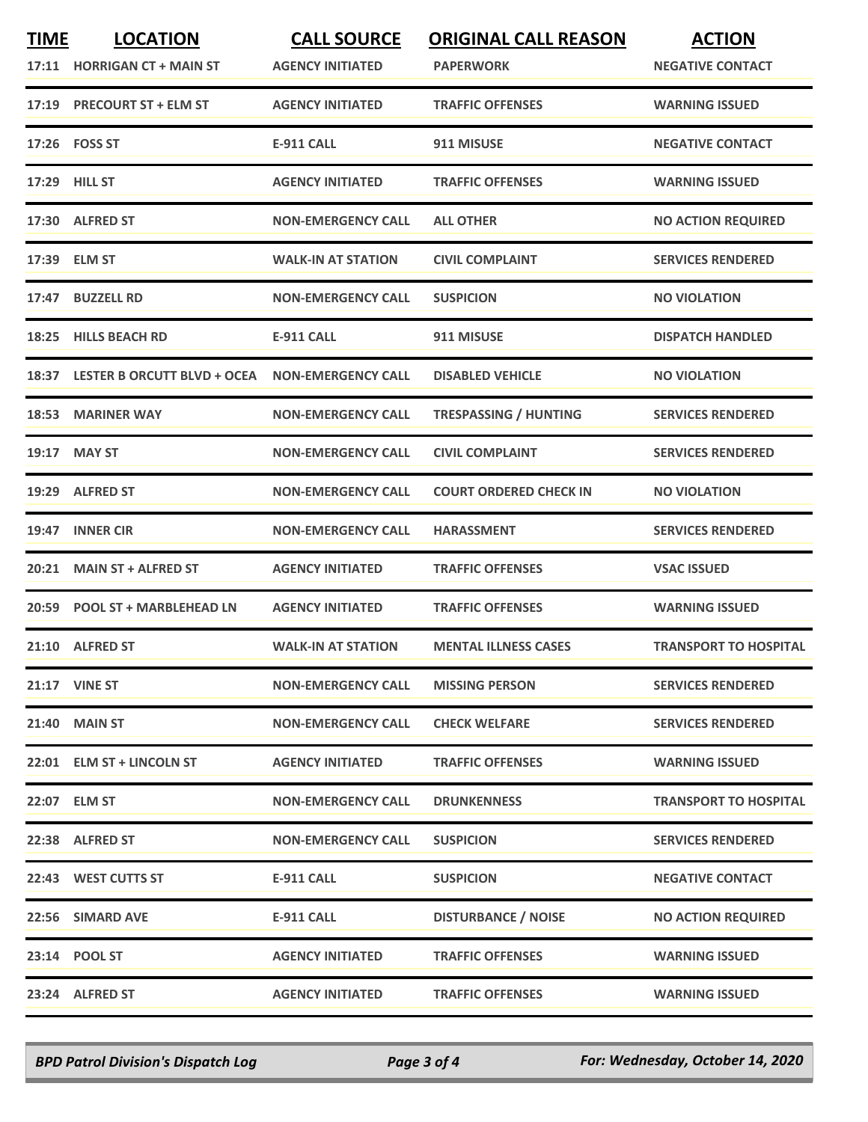| <b>TIME</b> | <b>LOCATION</b><br>17:11 HORRIGAN CT + MAIN ST | <b>CALL SOURCE</b><br><b>AGENCY INITIATED</b> | <b>ORIGINAL CALL REASON</b><br><b>PAPERWORK</b> | <b>ACTION</b><br><b>NEGATIVE CONTACT</b> |
|-------------|------------------------------------------------|-----------------------------------------------|-------------------------------------------------|------------------------------------------|
| 17:19       | <b>PRECOURT ST + ELM ST</b>                    | <b>AGENCY INITIATED</b>                       | <b>TRAFFIC OFFENSES</b>                         | <b>WARNING ISSUED</b>                    |
|             | 17:26    FOSS ST                               | <b>E-911 CALL</b>                             | 911 MISUSE                                      | <b>NEGATIVE CONTACT</b>                  |
|             | 17:29 HILL ST                                  | <b>AGENCY INITIATED</b>                       | <b>TRAFFIC OFFENSES</b>                         | <b>WARNING ISSUED</b>                    |
|             | 17:30 ALFRED ST                                | <b>NON-EMERGENCY CALL</b>                     | <b>ALL OTHER</b>                                | <b>NO ACTION REQUIRED</b>                |
|             | 17:39 ELM ST                                   | <b>WALK-IN AT STATION</b>                     | <b>CIVIL COMPLAINT</b>                          | <b>SERVICES RENDERED</b>                 |
| 17:47       | <b>BUZZELL RD</b>                              | <b>NON-EMERGENCY CALL</b>                     | <b>SUSPICION</b>                                | <b>NO VIOLATION</b>                      |
| 18:25       | <b>HILLS BEACH RD</b>                          | <b>E-911 CALL</b>                             | 911 MISUSE                                      | <b>DISPATCH HANDLED</b>                  |
|             | 18:37 LESTER B ORCUTT BLVD + OCEA              | <b>NON-EMERGENCY CALL</b>                     | <b>DISABLED VEHICLE</b>                         | <b>NO VIOLATION</b>                      |
| 18:53       | <b>MARINER WAY</b>                             | <b>NON-EMERGENCY CALL</b>                     | <b>TRESPASSING / HUNTING</b>                    | <b>SERVICES RENDERED</b>                 |
| 19:17       | <b>MAY ST</b>                                  | <b>NON-EMERGENCY CALL</b>                     | <b>CIVIL COMPLAINT</b>                          | <b>SERVICES RENDERED</b>                 |
|             | 19:29 ALFRED ST                                | <b>NON-EMERGENCY CALL</b>                     | <b>COURT ORDERED CHECK IN</b>                   | <b>NO VIOLATION</b>                      |
| 19:47       | <b>INNER CIR</b>                               | <b>NON-EMERGENCY CALL</b>                     | <b>HARASSMENT</b>                               | <b>SERVICES RENDERED</b>                 |
| 20:21       | <b>MAIN ST + ALFRED ST</b>                     | <b>AGENCY INITIATED</b>                       | <b>TRAFFIC OFFENSES</b>                         | <b>VSAC ISSUED</b>                       |
|             | 20:59 POOL ST + MARBLEHEAD LN                  | <b>AGENCY INITIATED</b>                       | <b>TRAFFIC OFFENSES</b>                         | <b>WARNING ISSUED</b>                    |
|             | 21:10 ALFRED ST                                | <b>WALK-IN AT STATION</b>                     | <b>MENTAL ILLNESS CASES</b>                     | <b>TRANSPORT TO HOSPITAL</b>             |
|             | <b>21:17 VINE ST</b>                           | <b>NON-EMERGENCY CALL</b>                     | <b>MISSING PERSON</b>                           | <b>SERVICES RENDERED</b>                 |
|             | 21:40 MAIN ST                                  | <b>NON-EMERGENCY CALL</b>                     | <b>CHECK WELFARE</b>                            | <b>SERVICES RENDERED</b>                 |
|             | 22:01 ELM ST + LINCOLN ST                      | <b>AGENCY INITIATED</b>                       | <b>TRAFFIC OFFENSES</b>                         | <b>WARNING ISSUED</b>                    |
|             | 22:07 ELM ST                                   | <b>NON-EMERGENCY CALL</b>                     | <b>DRUNKENNESS</b>                              | <b>TRANSPORT TO HOSPITAL</b>             |
|             | 22:38 ALFRED ST                                | <b>NON-EMERGENCY CALL</b>                     | <b>SUSPICION</b>                                | <b>SERVICES RENDERED</b>                 |
|             | 22:43 WEST CUTTS ST                            | E-911 CALL                                    | <b>SUSPICION</b>                                | <b>NEGATIVE CONTACT</b>                  |
|             | 22:56 SIMARD AVE                               | <b>E-911 CALL</b>                             | <b>DISTURBANCE / NOISE</b>                      | <b>NO ACTION REQUIRED</b>                |
|             | 23:14 POOL ST                                  | <b>AGENCY INITIATED</b>                       | <b>TRAFFIC OFFENSES</b>                         | <b>WARNING ISSUED</b>                    |
|             | 23:24 ALFRED ST                                | <b>AGENCY INITIATED</b>                       | <b>TRAFFIC OFFENSES</b>                         | <b>WARNING ISSUED</b>                    |

*BPD Patrol Division's Dispatch Log Page 3 of 4 For: Wednesday, October 14, 2020*